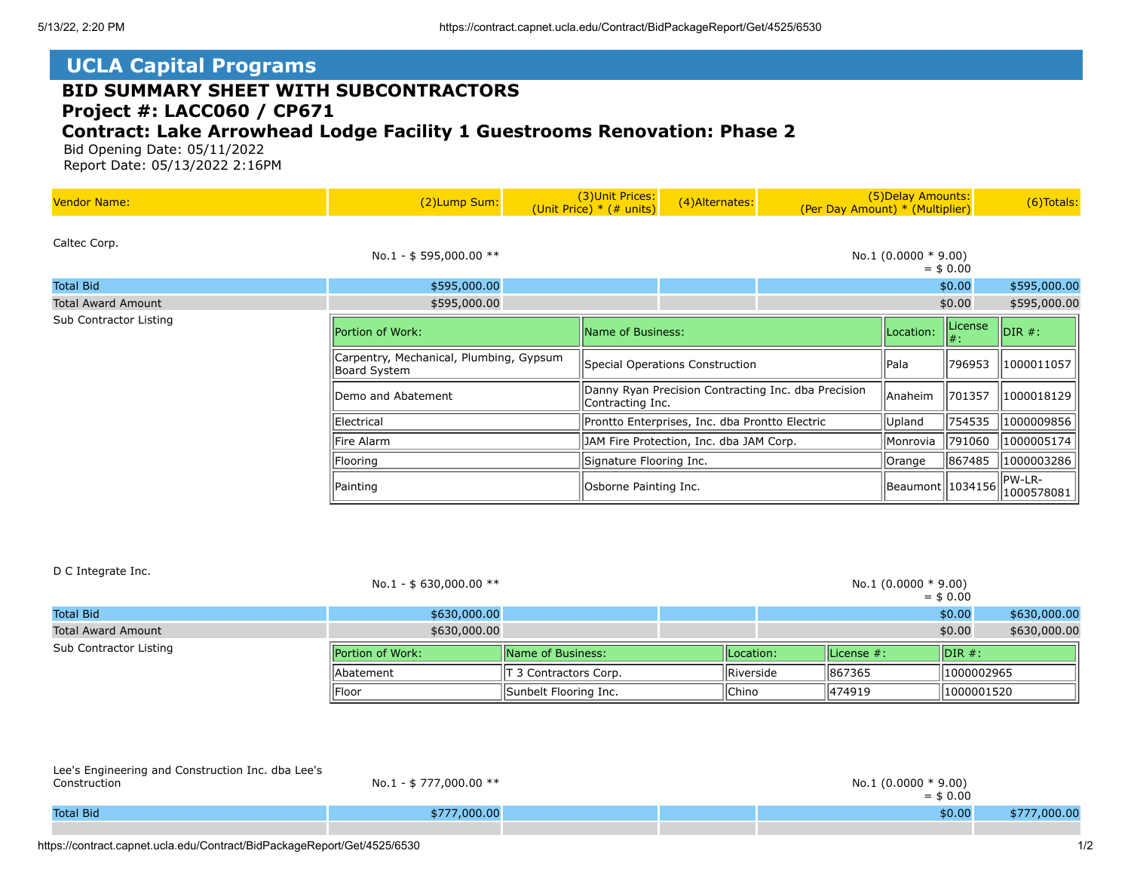D C Integrate Inc.

## **UCLA Capital Programs**

## **BID SUMMARY SHEET WITH SUBCONTRACTORS Project #: LACC060 / CP671**

## **Contract: Lake Arrowhead Lodge Facility 1 Guestrooms Renovation: Phase 2**

 Bid Opening Date: 05/11/2022 Report Date: 05/13/2022 2:16PM

| <b>Vendor Name:</b>       | (2)Lump Sum:                                            |                   | (3) Unit Prices:<br>(Unit Price) $*$ (# units)                          | (4) Alternates: | (Per Day Amount) * (Multiplier) | (5) Delay Amounts:     |                      | $(6)$ Totals:  |
|---------------------------|---------------------------------------------------------|-------------------|-------------------------------------------------------------------------|-----------------|---------------------------------|------------------------|----------------------|----------------|
| Caltec Corp.              | No.1 - \$595,000.00 $**$                                |                   |                                                                         |                 |                                 | No.1 $(0.0000 * 9.00)$ | $=$ \$ 0.00          |                |
| <b>Total Bid</b>          | \$595,000.00                                            |                   |                                                                         |                 |                                 |                        | \$0.00               | \$595,000.00   |
| <b>Total Award Amount</b> | \$595,000.00                                            |                   |                                                                         |                 |                                 |                        | \$0.00               | \$595,000.00   |
| Sub Contractor Listing    | Portion of Work:                                        | Name of Business: |                                                                         |                 |                                 | Location:              | License<br>$  #$ :   | $\vert$ DIR #: |
|                           | Carpentry, Mechanical, Plumbing, Gypsum<br>Board System |                   | Special Operations Construction                                         |                 | Pala                            | 796953                 | 1000011057           |                |
|                           | Demo and Abatement                                      |                   | Danny Ryan Precision Contracting Inc. dba Precision<br>Contracting Inc. |                 |                                 | Anaheim                | 701357               | 1000018129     |
|                           | Electrical                                              |                   | Prontto Enterprises, Inc. dba Prontto Electric                          |                 | Upland                          | 754535                 | 1000009856           |                |
|                           | Fire Alarm                                              |                   | JAM Fire Protection, Inc. dba JAM Corp.                                 |                 | Monrovia                        | 791060                 | 1000005174           |                |
|                           | Flooring                                                |                   | Signature Flooring Inc.                                                 |                 | Orange                          | 867485                 | 1000003286           |                |
|                           | Painting                                                |                   | Osborne Painting Inc.                                                   |                 | Beaumont   1034156              |                        | PW-LR-<br>1000578081 |                |

|                           | No.1 - \$ 630,000.00 $**$ |                           |  |                            |  | No.1 $(0.0000 * 9.00)$ | $=$ \$ 0.00 |              |
|---------------------------|---------------------------|---------------------------|--|----------------------------|--|------------------------|-------------|--------------|
| <b>Total Bid</b>          | \$630,000.00              |                           |  |                            |  |                        | \$0.00      | \$630,000.00 |
| <b>Total Award Amount</b> | \$630,000.00              |                           |  |                            |  |                        | \$0.00      | \$630,000.00 |
| Sub Contractor Listing    | Portion of Work:          | <b>IName of Business:</b> |  | License $#$ :<br>Location: |  | $\mathsf{IDIR}$ #:     |             |              |
|                           | lAbatement                | T 3 Contractors Corp.     |  | Riverside                  |  | 867365                 | 1000002965  |              |
|                           | Floor                     | Sunbelt Flooring Inc.     |  | Chino                      |  | 474919                 | 1000001520  |              |
|                           |                           |                           |  |                            |  |                        |             |              |
|                           |                           |                           |  |                            |  |                        |             |              |

| Lee's Engineering and Construction Inc. dba Lee's<br>Construction | No.1 - \$ 777,000.00 ** |  | $=$ \$ 0.00 |              |
|-------------------------------------------------------------------|-------------------------|--|-------------|--------------|
| <b>Total Bid</b>                                                  | \$777,000.00            |  | \$0.00      | \$777,000.00 |
|                                                                   |                         |  |             |              |